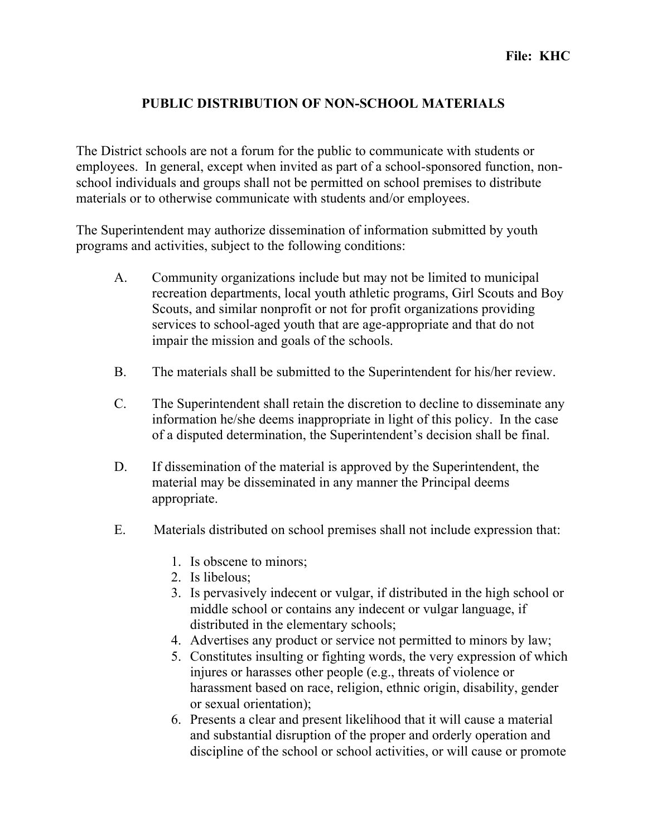## **PUBLIC DISTRIBUTION OF NON-SCHOOL MATERIALS**

The District schools are not a forum for the public to communicate with students or employees. In general, except when invited as part of a school-sponsored function, nonschool individuals and groups shall not be permitted on school premises to distribute materials or to otherwise communicate with students and/or employees.

The Superintendent may authorize dissemination of information submitted by youth programs and activities, subject to the following conditions:

- A. Community organizations include but may not be limited to municipal recreation departments, local youth athletic programs, Girl Scouts and Boy Scouts, and similar nonprofit or not for profit organizations providing services to school-aged youth that are age-appropriate and that do not impair the mission and goals of the schools.
- B. The materials shall be submitted to the Superintendent for his/her review.
- C. The Superintendent shall retain the discretion to decline to disseminate any information he/she deems inappropriate in light of this policy. In the case of a disputed determination, the Superintendent's decision shall be final.
- D. If dissemination of the material is approved by the Superintendent, the material may be disseminated in any manner the Principal deems appropriate.
- E. Materials distributed on school premises shall not include expression that:
	- 1. Is obscene to minors;
	- 2. Is libelous;
	- 3. Is pervasively indecent or vulgar, if distributed in the high school or middle school or contains any indecent or vulgar language, if distributed in the elementary schools;
	- 4. Advertises any product or service not permitted to minors by law;
	- 5. Constitutes insulting or fighting words, the very expression of which injures or harasses other people (e.g., threats of violence or harassment based on race, religion, ethnic origin, disability, gender or sexual orientation);
	- 6. Presents a clear and present likelihood that it will cause a material and substantial disruption of the proper and orderly operation and discipline of the school or school activities, or will cause or promote